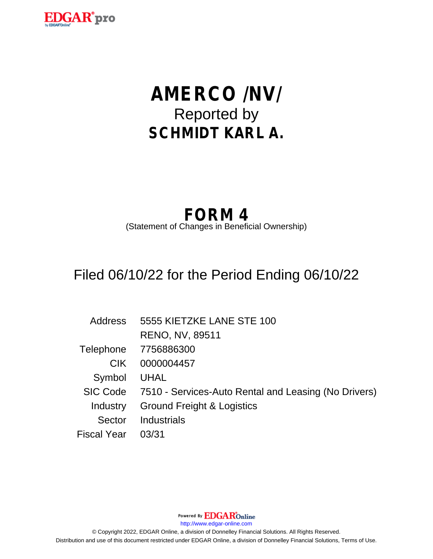

# **AMERCO /NV/** Reported by **SCHMIDT KARL A.**

## **FORM 4**

(Statement of Changes in Beneficial Ownership)

## Filed 06/10/22 for the Period Ending 06/10/22

| <b>Address</b> | 5555 KIETZKE LANE STE 100                                     |
|----------------|---------------------------------------------------------------|
|                | <b>RENO, NV, 89511</b>                                        |
|                | Telephone 7756886300                                          |
| CIK.           | 0000004457                                                    |
| Symbol         | UHAL                                                          |
|                | SIC Code 7510 - Services-Auto Rental and Leasing (No Drivers) |
| Industry       | <b>Ground Freight &amp; Logistics</b>                         |
| Sector         | Industrials                                                   |
| Fiscal Year    | 03/31                                                         |

Powered By **EDGAR**Online

http://www.edgar-online.com

© Copyright 2022, EDGAR Online, a division of Donnelley Financial Solutions. All Rights Reserved. Distribution and use of this document restricted under EDGAR Online, a division of Donnelley Financial Solutions, Terms of Use.